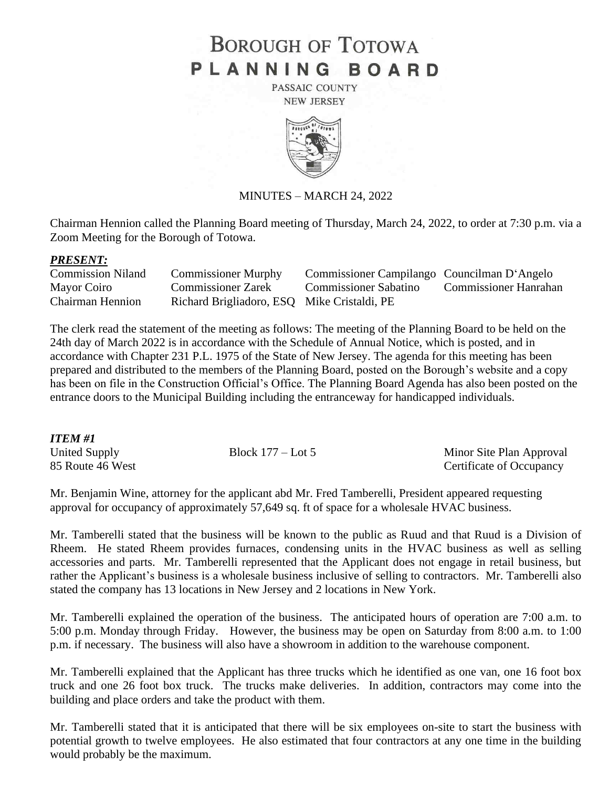# **BOROUGH OF TOTOWA** PLANNING BOARD

PASSAIC COUNTY **NEW JERSEY** 



## MINUTES – MARCH 24, 2022

Chairman Hennion called the Planning Board meeting of Thursday, March 24, 2022, to order at 7:30 p.m. via a Zoom Meeting for the Borough of Totowa.

### *PRESENT:*

| <b>Commission Niland</b> | <b>Commissioner Murphy</b>                  | Commissioner Campilango Councilman D'Angelo |                       |
|--------------------------|---------------------------------------------|---------------------------------------------|-----------------------|
| Mayor Coiro              | <b>Commissioner Zarek</b>                   | Commissioner Sabatino                       | Commissioner Hanrahan |
| <b>Chairman Hennion</b>  | Richard Brigliadoro, ESQ Mike Cristaldi, PE |                                             |                       |

The clerk read the statement of the meeting as follows: The meeting of the Planning Board to be held on the 24th day of March 2022 is in accordance with the Schedule of Annual Notice, which is posted, and in accordance with Chapter 231 P.L. 1975 of the State of New Jersey. The agenda for this meeting has been prepared and distributed to the members of the Planning Board, posted on the Borough's website and a copy has been on file in the Construction Official's Office. The Planning Board Agenda has also been posted on the entrance doors to the Municipal Building including the entranceway for handicapped individuals.

## *ITEM #1*

United Supply Block 177 – Lot 5 Minor Site Plan Approval 85 Route 46 West Certificate of Occupancy

Mr. Benjamin Wine, attorney for the applicant abd Mr. Fred Tamberelli, President appeared requesting approval for occupancy of approximately 57,649 sq. ft of space for a wholesale HVAC business.

Mr. Tamberelli stated that the business will be known to the public as Ruud and that Ruud is a Division of Rheem. He stated Rheem provides furnaces, condensing units in the HVAC business as well as selling accessories and parts. Mr. Tamberelli represented that the Applicant does not engage in retail business, but rather the Applicant's business is a wholesale business inclusive of selling to contractors. Mr. Tamberelli also stated the company has 13 locations in New Jersey and 2 locations in New York.

Mr. Tamberelli explained the operation of the business. The anticipated hours of operation are 7:00 a.m. to 5:00 p.m. Monday through Friday. However, the business may be open on Saturday from 8:00 a.m. to 1:00 p.m. if necessary. The business will also have a showroom in addition to the warehouse component.

Mr. Tamberelli explained that the Applicant has three trucks which he identified as one van, one 16 foot box truck and one 26 foot box truck. The trucks make deliveries. In addition, contractors may come into the building and place orders and take the product with them.

Mr. Tamberelli stated that it is anticipated that there will be six employees on-site to start the business with potential growth to twelve employees. He also estimated that four contractors at any one time in the building would probably be the maximum.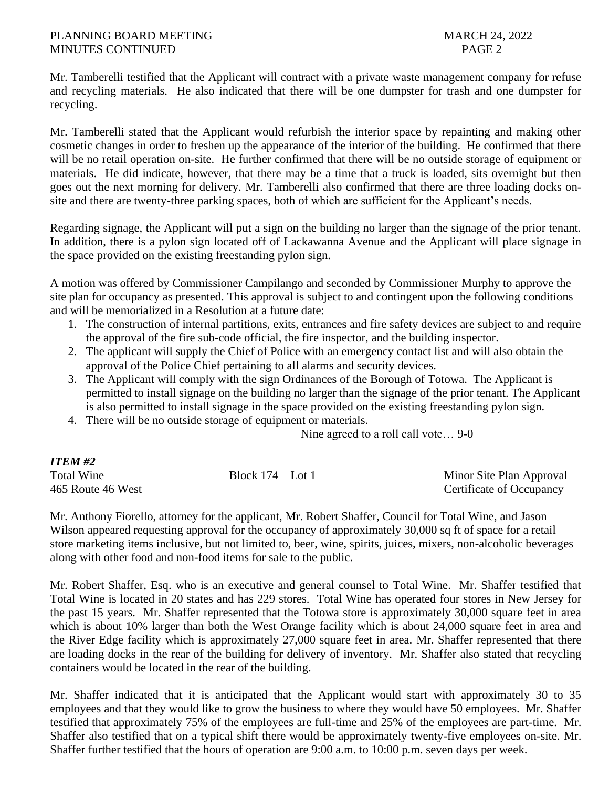Mr. Tamberelli testified that the Applicant will contract with a private waste management company for refuse and recycling materials. He also indicated that there will be one dumpster for trash and one dumpster for recycling.

Mr. Tamberelli stated that the Applicant would refurbish the interior space by repainting and making other cosmetic changes in order to freshen up the appearance of the interior of the building. He confirmed that there will be no retail operation on-site. He further confirmed that there will be no outside storage of equipment or materials. He did indicate, however, that there may be a time that a truck is loaded, sits overnight but then goes out the next morning for delivery. Mr. Tamberelli also confirmed that there are three loading docks onsite and there are twenty-three parking spaces, both of which are sufficient for the Applicant's needs.

Regarding signage, the Applicant will put a sign on the building no larger than the signage of the prior tenant. In addition, there is a pylon sign located off of Lackawanna Avenue and the Applicant will place signage in the space provided on the existing freestanding pylon sign.

A motion was offered by Commissioner Campilango and seconded by Commissioner Murphy to approve the site plan for occupancy as presented. This approval is subject to and contingent upon the following conditions and will be memorialized in a Resolution at a future date:

- 1. The construction of internal partitions, exits, entrances and fire safety devices are subject to and require the approval of the fire sub-code official, the fire inspector, and the building inspector.
- 2. The applicant will supply the Chief of Police with an emergency contact list and will also obtain the approval of the Police Chief pertaining to all alarms and security devices.
- 3. The Applicant will comply with the sign Ordinances of the Borough of Totowa. The Applicant is permitted to install signage on the building no larger than the signage of the prior tenant. The Applicant is also permitted to install signage in the space provided on the existing freestanding pylon sign.
- 4. There will be no outside storage of equipment or materials.

Nine agreed to a roll call vote… 9-0

| <i>ITEM #2</i>    |                   |                          |
|-------------------|-------------------|--------------------------|
| <b>Total Wine</b> | Block 174 – Lot 1 | Minor Site Plan Approval |
| 465 Route 46 West |                   | Certificate of Occupancy |

Mr. Anthony Fiorello, attorney for the applicant, Mr. Robert Shaffer, Council for Total Wine, and Jason Wilson appeared requesting approval for the occupancy of approximately 30,000 sq ft of space for a retail store marketing items inclusive, but not limited to, beer, wine, spirits, juices, mixers, non-alcoholic beverages along with other food and non-food items for sale to the public.

Mr. Robert Shaffer, Esq. who is an executive and general counsel to Total Wine. Mr. Shaffer testified that Total Wine is located in 20 states and has 229 stores. Total Wine has operated four stores in New Jersey for the past 15 years. Mr. Shaffer represented that the Totowa store is approximately 30,000 square feet in area which is about 10% larger than both the West Orange facility which is about 24,000 square feet in area and the River Edge facility which is approximately 27,000 square feet in area. Mr. Shaffer represented that there are loading docks in the rear of the building for delivery of inventory. Mr. Shaffer also stated that recycling containers would be located in the rear of the building.

Mr. Shaffer indicated that it is anticipated that the Applicant would start with approximately 30 to 35 employees and that they would like to grow the business to where they would have 50 employees. Mr. Shaffer testified that approximately 75% of the employees are full-time and 25% of the employees are part-time. Mr. Shaffer also testified that on a typical shift there would be approximately twenty-five employees on-site. Mr. Shaffer further testified that the hours of operation are 9:00 a.m. to 10:00 p.m. seven days per week.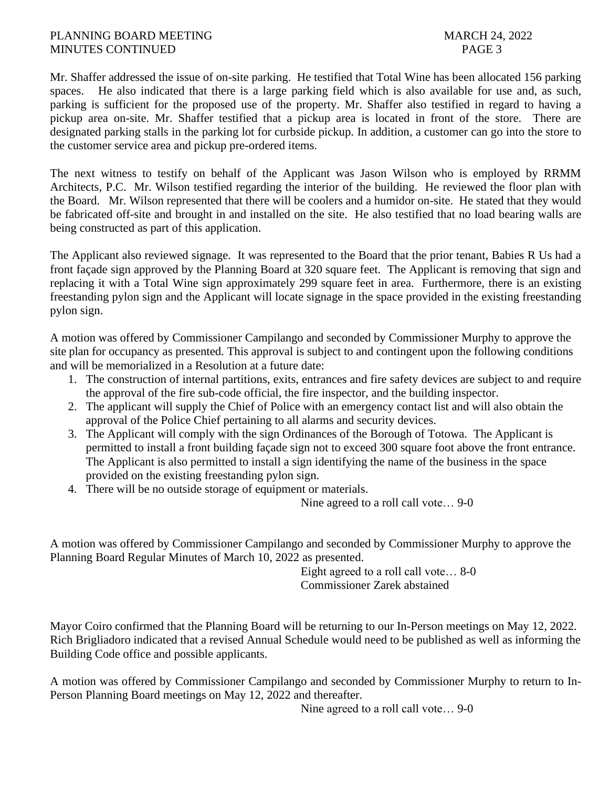## PLANNING BOARD MEETING MARCH 24, 2022 MINUTES CONTINUED PAGE 3

Mr. Shaffer addressed the issue of on-site parking. He testified that Total Wine has been allocated 156 parking spaces. He also indicated that there is a large parking field which is also available for use and, as such, parking is sufficient for the proposed use of the property. Mr. Shaffer also testified in regard to having a pickup area on-site. Mr. Shaffer testified that a pickup area is located in front of the store. There are designated parking stalls in the parking lot for curbside pickup. In addition, a customer can go into the store to the customer service area and pickup pre-ordered items.

The next witness to testify on behalf of the Applicant was Jason Wilson who is employed by RRMM Architects, P.C. Mr. Wilson testified regarding the interior of the building. He reviewed the floor plan with the Board. Mr. Wilson represented that there will be coolers and a humidor on-site. He stated that they would be fabricated off-site and brought in and installed on the site. He also testified that no load bearing walls are being constructed as part of this application.

The Applicant also reviewed signage. It was represented to the Board that the prior tenant, Babies R Us had a front façade sign approved by the Planning Board at 320 square feet. The Applicant is removing that sign and replacing it with a Total Wine sign approximately 299 square feet in area. Furthermore, there is an existing freestanding pylon sign and the Applicant will locate signage in the space provided in the existing freestanding pylon sign.

A motion was offered by Commissioner Campilango and seconded by Commissioner Murphy to approve the site plan for occupancy as presented. This approval is subject to and contingent upon the following conditions and will be memorialized in a Resolution at a future date:

- 1. The construction of internal partitions, exits, entrances and fire safety devices are subject to and require the approval of the fire sub-code official, the fire inspector, and the building inspector.
- 2. The applicant will supply the Chief of Police with an emergency contact list and will also obtain the approval of the Police Chief pertaining to all alarms and security devices.
- 3. The Applicant will comply with the sign Ordinances of the Borough of Totowa. The Applicant is permitted to install a front building façade sign not to exceed 300 square foot above the front entrance. The Applicant is also permitted to install a sign identifying the name of the business in the space provided on the existing freestanding pylon sign.
- 4. There will be no outside storage of equipment or materials.

Nine agreed to a roll call vote… 9-0

A motion was offered by Commissioner Campilango and seconded by Commissioner Murphy to approve the Planning Board Regular Minutes of March 10, 2022 as presented.

Eight agreed to a roll call vote… 8-0 Commissioner Zarek abstained

Mayor Coiro confirmed that the Planning Board will be returning to our In-Person meetings on May 12, 2022. Rich Brigliadoro indicated that a revised Annual Schedule would need to be published as well as informing the Building Code office and possible applicants.

A motion was offered by Commissioner Campilango and seconded by Commissioner Murphy to return to In-Person Planning Board meetings on May 12, 2022 and thereafter.

Nine agreed to a roll call vote… 9-0